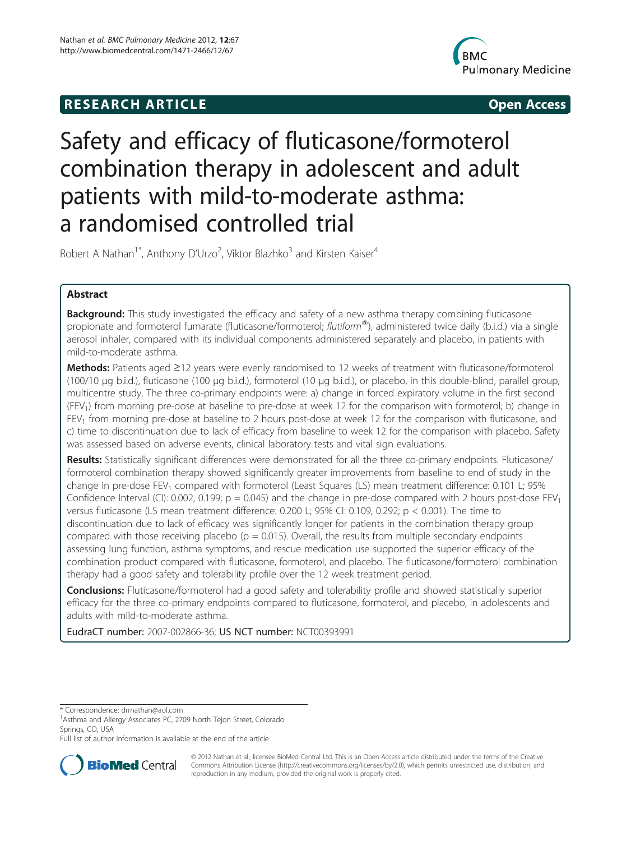# **RESEARCH ARTICLE Example 2014 12:30 The SEAR CHA RTICLE**



# Safety and efficacy of fluticasone/formoterol combination therapy in adolescent and adult patients with mild-to-moderate asthma: a randomised controlled trial

Robert A Nathan<sup>1\*</sup>, Anthony D'Urzo<sup>2</sup>, Viktor Blazhko<sup>3</sup> and Kirsten Kaiser<sup>4</sup>

# Abstract

**Background:** This study investigated the efficacy and safety of a new asthma therapy combining fluticasone propionate and formoterol fumarate (fluticasone/formoterol; flutiform®), administered twice daily (b.i.d.) via a single aerosol inhaler, compared with its individual components administered separately and placebo, in patients with mild-to-moderate asthma.

Methods: Patients aged ≥12 years were evenly randomised to 12 weeks of treatment with fluticasone/formoterol (100/10 μg b.i.d.), fluticasone (100 μg b.i.d.), formoterol (10 μg b.i.d.), or placebo, in this double-blind, parallel group, multicentre study. The three co-primary endpoints were: a) change in forced expiratory volume in the first second (FEV1) from morning pre-dose at baseline to pre-dose at week 12 for the comparison with formoterol; b) change in FEV1 from morning pre-dose at baseline to 2 hours post-dose at week 12 for the comparison with fluticasone, and c) time to discontinuation due to lack of efficacy from baseline to week 12 for the comparison with placebo. Safety was assessed based on adverse events, clinical laboratory tests and vital sign evaluations.

Results: Statistically significant differences were demonstrated for all the three co-primary endpoints. Fluticasone/ formoterol combination therapy showed significantly greater improvements from baseline to end of study in the change in pre-dose FEV<sub>1</sub> compared with formoterol (Least Squares (LS) mean treatment difference: 0.101 L; 95% Confidence Interval (CI): 0.002, 0.199;  $p = 0.045$ ) and the change in pre-dose compared with 2 hours post-dose  $FEV<sub>1</sub>$ versus fluticasone (LS mean treatment difference: 0.200 L; 95% CI: 0.109, 0.292; p < 0.001). The time to discontinuation due to lack of efficacy was significantly longer for patients in the combination therapy group compared with those receiving placebo ( $p = 0.015$ ). Overall, the results from multiple secondary endpoints assessing lung function, asthma symptoms, and rescue medication use supported the superior efficacy of the combination product compared with fluticasone, formoterol, and placebo. The fluticasone/formoterol combination therapy had a good safety and tolerability profile over the 12 week treatment period.

**Conclusions:** Fluticasone/formoterol had a good safety and tolerability profile and showed statistically superior efficacy for the three co-primary endpoints compared to fluticasone, formoterol, and placebo, in adolescents and adults with mild-to-moderate asthma.

EudraCT number: 2007-002866-36; US NCT number: NCT00393991

\* Correspondence: [drrnathan@aol.com](mailto:drrnathan@aol.com) <sup>1</sup>

<sup>1</sup> Asthma and Allergy Associates PC, 2709 North Tejon Street, Colorado Springs, CO, USA

Full list of author information is available at the end of the article



© 2012 Nathan et al.; licensee BioMed Central Ltd. This is an Open Access article distributed under the terms of the Creative Commons Attribution License [\(http://creativecommons.org/licenses/by/2.0\)](http://creativecommons.org/licenses/by/2.0), which permits unrestricted use, distribution, and reproduction in any medium, provided the original work is properly cited.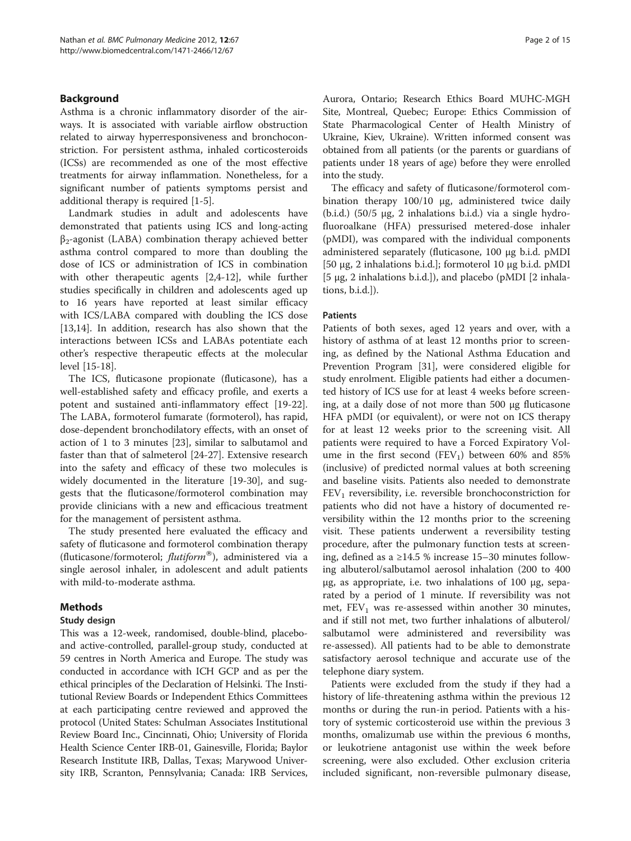# Background

Asthma is a chronic inflammatory disorder of the airways. It is associated with variable airflow obstruction related to airway hyperresponsiveness and bronchoconstriction. For persistent asthma, inhaled corticosteroids (ICSs) are recommended as one of the most effective treatments for airway inflammation. Nonetheless, for a significant number of patients symptoms persist and additional therapy is required [[1-5\]](#page-13-0).

Landmark studies in adult and adolescents have demonstrated that patients using ICS and long-acting  $β_2$ -agonist (LABA) combination therapy achieved better asthma control compared to more than doubling the dose of ICS or administration of ICS in combination with other therapeutic agents [\[2,4-12](#page-13-0)], while further studies specifically in children and adolescents aged up to 16 years have reported at least similar efficacy with ICS/LABA compared with doubling the ICS dose [[13,14\]](#page-13-0). In addition, research has also shown that the interactions between ICSs and LABAs potentiate each other's respective therapeutic effects at the molecular level [\[15](#page-13-0)-[18\]](#page-13-0).

The ICS, fluticasone propionate (fluticasone), has a well-established safety and efficacy profile, and exerts a potent and sustained anti-inflammatory effect [\[19-22](#page-13-0)]. The LABA, formoterol fumarate (formoterol), has rapid, dose-dependent bronchodilatory effects, with an onset of action of 1 to 3 minutes [\[23](#page-13-0)], similar to salbutamol and faster than that of salmeterol [[24-27](#page-13-0)]. Extensive research into the safety and efficacy of these two molecules is widely documented in the literature [[19-30\]](#page-13-0), and suggests that the fluticasone/formoterol combination may provide clinicians with a new and efficacious treatment for the management of persistent asthma.

The study presented here evaluated the efficacy and safety of fluticasone and formoterol combination therapy (fluticasone/formoterol;  $flutiform^{\circ\circ}$ ), administered via a single aerosol inhaler, in adolescent and adult patients with mild-to-moderate asthma.

# Methods

# Study design

This was a 12-week, randomised, double-blind, placeboand active-controlled, parallel-group study, conducted at 59 centres in North America and Europe. The study was conducted in accordance with ICH GCP and as per the ethical principles of the Declaration of Helsinki. The Institutional Review Boards or Independent Ethics Committees at each participating centre reviewed and approved the protocol (United States: Schulman Associates Institutional Review Board Inc., Cincinnati, Ohio; University of Florida Health Science Center IRB-01, Gainesville, Florida; Baylor Research Institute IRB, Dallas, Texas; Marywood University IRB, Scranton, Pennsylvania; Canada: IRB Services,

Aurora, Ontario; Research Ethics Board MUHC-MGH Site, Montreal, Quebec; Europe: Ethics Commission of State Pharmacological Center of Health Ministry of Ukraine, Kiev, Ukraine). Written informed consent was obtained from all patients (or the parents or guardians of patients under 18 years of age) before they were enrolled into the study.

The efficacy and safety of fluticasone/formoterol combination therapy 100/10 μg, administered twice daily (b.i.d.) (50/5 μg, 2 inhalations b.i.d.) via a single hydrofluoroalkane (HFA) pressurised metered-dose inhaler (pMDI), was compared with the individual components administered separately (fluticasone, 100 μg b.i.d. pMDI [50 μg, 2 inhalations b.i.d.]; formoterol 10 μg b.i.d. pMDI [5 μg, 2 inhalations b.i.d.]), and placebo (pMDI [2 inhalations, b.i.d.]).

### **Patients**

Patients of both sexes, aged 12 years and over, with a history of asthma of at least 12 months prior to screening, as defined by the National Asthma Education and Prevention Program [\[31\]](#page-14-0), were considered eligible for study enrolment. Eligible patients had either a documented history of ICS use for at least 4 weeks before screening, at a daily dose of not more than 500 μg fluticasone HFA pMDI (or equivalent), or were not on ICS therapy for at least 12 weeks prior to the screening visit. All patients were required to have a Forced Expiratory Volume in the first second (FEV<sub>1</sub>) between 60% and 85% (inclusive) of predicted normal values at both screening and baseline visits. Patients also needed to demonstrate  $FEV<sub>1</sub>$  reversibility, i.e. reversible bronchoconstriction for patients who did not have a history of documented reversibility within the 12 months prior to the screening visit. These patients underwent a reversibility testing procedure, after the pulmonary function tests at screening, defined as a ≥14.5 % increase 15–30 minutes following albuterol/salbutamol aerosol inhalation (200 to 400 μg, as appropriate, i.e. two inhalations of 100 μg, separated by a period of 1 minute. If reversibility was not met,  $FEV<sub>1</sub>$  was re-assessed within another 30 minutes, and if still not met, two further inhalations of albuterol/ salbutamol were administered and reversibility was re-assessed). All patients had to be able to demonstrate satisfactory aerosol technique and accurate use of the telephone diary system.

Patients were excluded from the study if they had a history of life-threatening asthma within the previous 12 months or during the run-in period. Patients with a history of systemic corticosteroid use within the previous 3 months, omalizumab use within the previous 6 months, or leukotriene antagonist use within the week before screening, were also excluded. Other exclusion criteria included significant, non-reversible pulmonary disease,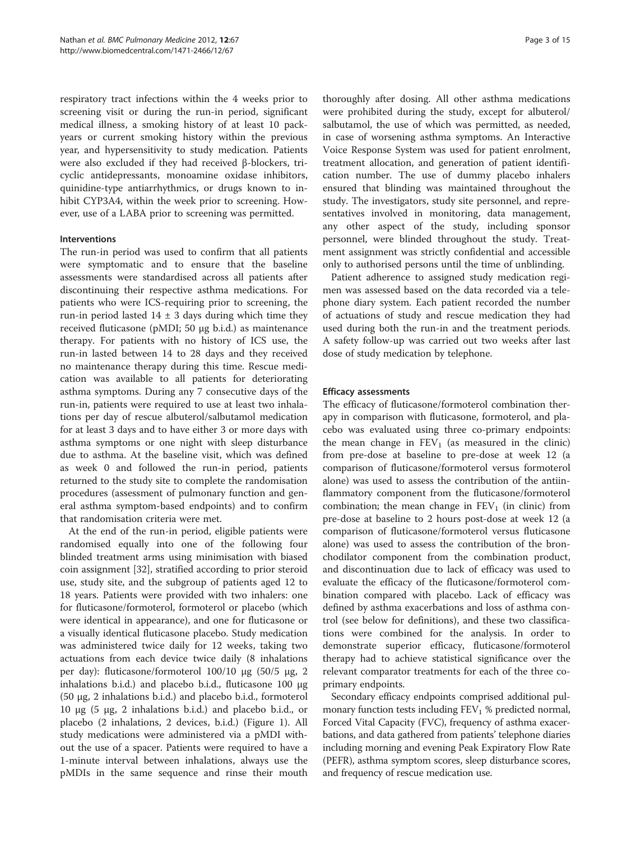respiratory tract infections within the 4 weeks prior to screening visit or during the run-in period, significant medical illness, a smoking history of at least 10 packyears or current smoking history within the previous year, and hypersensitivity to study medication. Patients were also excluded if they had received β-blockers, tricyclic antidepressants, monoamine oxidase inhibitors, quinidine-type antiarrhythmics, or drugs known to inhibit CYP3A4, within the week prior to screening. However, use of a LABA prior to screening was permitted.

### Interventions

The run-in period was used to confirm that all patients were symptomatic and to ensure that the baseline assessments were standardised across all patients after discontinuing their respective asthma medications. For patients who were ICS-requiring prior to screening, the run-in period lasted  $14 \pm 3$  days during which time they received fluticasone (pMDI; 50 μg b.i.d.) as maintenance therapy. For patients with no history of ICS use, the run-in lasted between 14 to 28 days and they received no maintenance therapy during this time. Rescue medication was available to all patients for deteriorating asthma symptoms. During any 7 consecutive days of the run-in, patients were required to use at least two inhalations per day of rescue albuterol/salbutamol medication for at least 3 days and to have either 3 or more days with asthma symptoms or one night with sleep disturbance due to asthma. At the baseline visit, which was defined as week 0 and followed the run-in period, patients returned to the study site to complete the randomisation procedures (assessment of pulmonary function and general asthma symptom-based endpoints) and to confirm that randomisation criteria were met.

At the end of the run-in period, eligible patients were randomised equally into one of the following four blinded treatment arms using minimisation with biased coin assignment [[32\]](#page-14-0), stratified according to prior steroid use, study site, and the subgroup of patients aged 12 to 18 years. Patients were provided with two inhalers: one for fluticasone/formoterol, formoterol or placebo (which were identical in appearance), and one for fluticasone or a visually identical fluticasone placebo. Study medication was administered twice daily for 12 weeks, taking two actuations from each device twice daily (8 inhalations per day): fluticasone/formoterol 100/10 μg (50/5 μg, 2 inhalations b.i.d.) and placebo b.i.d., fluticasone 100 μg (50 μg, 2 inhalations b.i.d.) and placebo b.i.d., formoterol 10 μg (5 μg, 2 inhalations b.i.d.) and placebo b.i.d., or placebo (2 inhalations, 2 devices, b.i.d.) (Figure [1](#page-3-0)). All study medications were administered via a pMDI without the use of a spacer. Patients were required to have a 1-minute interval between inhalations, always use the pMDIs in the same sequence and rinse their mouth

thoroughly after dosing. All other asthma medications were prohibited during the study, except for albuterol/ salbutamol, the use of which was permitted, as needed, in case of worsening asthma symptoms. An Interactive Voice Response System was used for patient enrolment, treatment allocation, and generation of patient identification number. The use of dummy placebo inhalers ensured that blinding was maintained throughout the study. The investigators, study site personnel, and representatives involved in monitoring, data management, any other aspect of the study, including sponsor personnel, were blinded throughout the study. Treatment assignment was strictly confidential and accessible only to authorised persons until the time of unblinding.

Patient adherence to assigned study medication regimen was assessed based on the data recorded via a telephone diary system. Each patient recorded the number of actuations of study and rescue medication they had used during both the run-in and the treatment periods. A safety follow-up was carried out two weeks after last dose of study medication by telephone.

### Efficacy assessments

The efficacy of fluticasone/formoterol combination therapy in comparison with fluticasone, formoterol, and placebo was evaluated using three co-primary endpoints: the mean change in  $FEV_1$  (as measured in the clinic) from pre-dose at baseline to pre-dose at week 12 (a comparison of fluticasone/formoterol versus formoterol alone) was used to assess the contribution of the antiinflammatory component from the fluticasone/formoterol combination; the mean change in  $FEV<sub>1</sub>$  (in clinic) from pre-dose at baseline to 2 hours post-dose at week 12 (a comparison of fluticasone/formoterol versus fluticasone alone) was used to assess the contribution of the bronchodilator component from the combination product, and discontinuation due to lack of efficacy was used to evaluate the efficacy of the fluticasone/formoterol combination compared with placebo. Lack of efficacy was defined by asthma exacerbations and loss of asthma control (see below for definitions), and these two classifications were combined for the analysis. In order to demonstrate superior efficacy, fluticasone/formoterol therapy had to achieve statistical significance over the relevant comparator treatments for each of the three coprimary endpoints.

Secondary efficacy endpoints comprised additional pulmonary function tests including  $FEV<sub>1</sub>$ % predicted normal, Forced Vital Capacity (FVC), frequency of asthma exacerbations, and data gathered from patients' telephone diaries including morning and evening Peak Expiratory Flow Rate (PEFR), asthma symptom scores, sleep disturbance scores, and frequency of rescue medication use.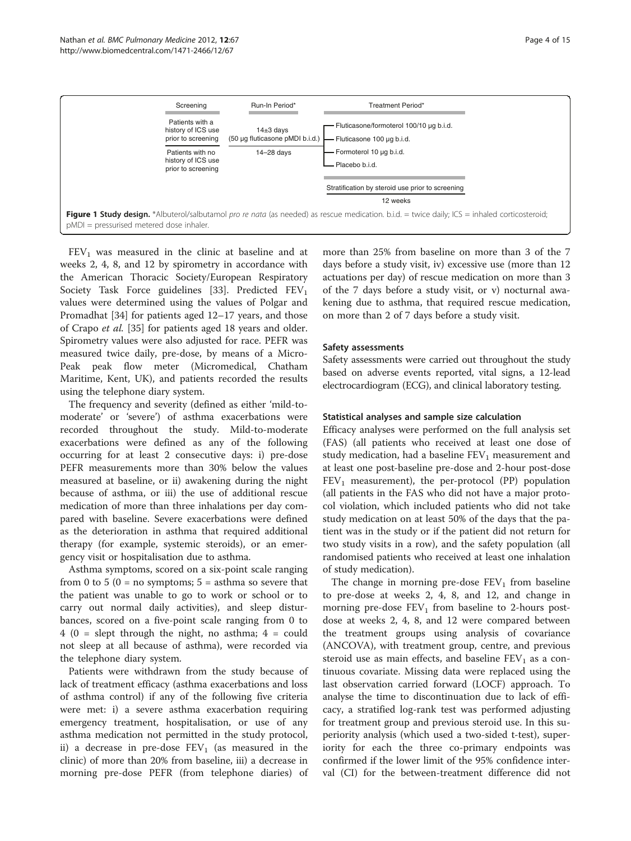<span id="page-3-0"></span>

 $FEV<sub>1</sub>$  was measured in the clinic at baseline and at weeks 2, 4, 8, and 12 by spirometry in accordance with the American Thoracic Society/European Respiratory Society Task Force guidelines [[33\]](#page-14-0). Predicted  $FEV<sub>1</sub>$ values were determined using the values of Polgar and Promadhat [[34\]](#page-14-0) for patients aged 12–17 years, and those of Crapo et al. [\[35](#page-14-0)] for patients aged 18 years and older. Spirometry values were also adjusted for race. PEFR was measured twice daily, pre-dose, by means of a Micro-Peak peak flow meter (Micromedical, Chatham Maritime, Kent, UK), and patients recorded the results using the telephone diary system.

The frequency and severity (defined as either 'mild-tomoderate' or 'severe') of asthma exacerbations were recorded throughout the study. Mild-to-moderate exacerbations were defined as any of the following occurring for at least 2 consecutive days: i) pre-dose PEFR measurements more than 30% below the values measured at baseline, or ii) awakening during the night because of asthma, or iii) the use of additional rescue medication of more than three inhalations per day compared with baseline. Severe exacerbations were defined as the deterioration in asthma that required additional therapy (for example, systemic steroids), or an emergency visit or hospitalisation due to asthma.

Asthma symptoms, scored on a six-point scale ranging from 0 to 5 ( $0 =$  no symptoms;  $5 =$  asthma so severe that the patient was unable to go to work or school or to carry out normal daily activities), and sleep disturbances, scored on a five-point scale ranging from 0 to  $4 (0 =$  slept through the night, no asthma;  $4 =$  could not sleep at all because of asthma), were recorded via the telephone diary system.

Patients were withdrawn from the study because of lack of treatment efficacy (asthma exacerbations and loss of asthma control) if any of the following five criteria were met: i) a severe asthma exacerbation requiring emergency treatment, hospitalisation, or use of any asthma medication not permitted in the study protocol, ii) a decrease in pre-dose  $FEV<sub>1</sub>$  (as measured in the clinic) of more than 20% from baseline, iii) a decrease in morning pre-dose PEFR (from telephone diaries) of more than 25% from baseline on more than 3 of the 7 days before a study visit, iv) excessive use (more than 12 actuations per day) of rescue medication on more than 3 of the 7 days before a study visit, or v) nocturnal awakening due to asthma, that required rescue medication, on more than 2 of 7 days before a study visit.

# Safety assessments

Safety assessments were carried out throughout the study based on adverse events reported, vital signs, a 12-lead electrocardiogram (ECG), and clinical laboratory testing.

#### Statistical analyses and sample size calculation

Efficacy analyses were performed on the full analysis set (FAS) (all patients who received at least one dose of study medication, had a baseline  $FEV<sub>1</sub>$  measurement and at least one post-baseline pre-dose and 2-hour post-dose  $FEV<sub>1</sub>$  measurement), the per-protocol (PP) population (all patients in the FAS who did not have a major protocol violation, which included patients who did not take study medication on at least 50% of the days that the patient was in the study or if the patient did not return for two study visits in a row), and the safety population (all randomised patients who received at least one inhalation of study medication).

The change in morning pre-dose  $FEV<sub>1</sub>$  from baseline to pre-dose at weeks 2, 4, 8, and 12, and change in morning pre-dose  $FEV_1$  from baseline to 2-hours postdose at weeks 2, 4, 8, and 12 were compared between the treatment groups using analysis of covariance (ANCOVA), with treatment group, centre, and previous steroid use as main effects, and baseline  $FEV<sub>1</sub>$  as a continuous covariate. Missing data were replaced using the last observation carried forward (LOCF) approach. To analyse the time to discontinuation due to lack of efficacy, a stratified log-rank test was performed adjusting for treatment group and previous steroid use. In this superiority analysis (which used a two-sided t-test), superiority for each the three co-primary endpoints was confirmed if the lower limit of the 95% confidence interval (CI) for the between-treatment difference did not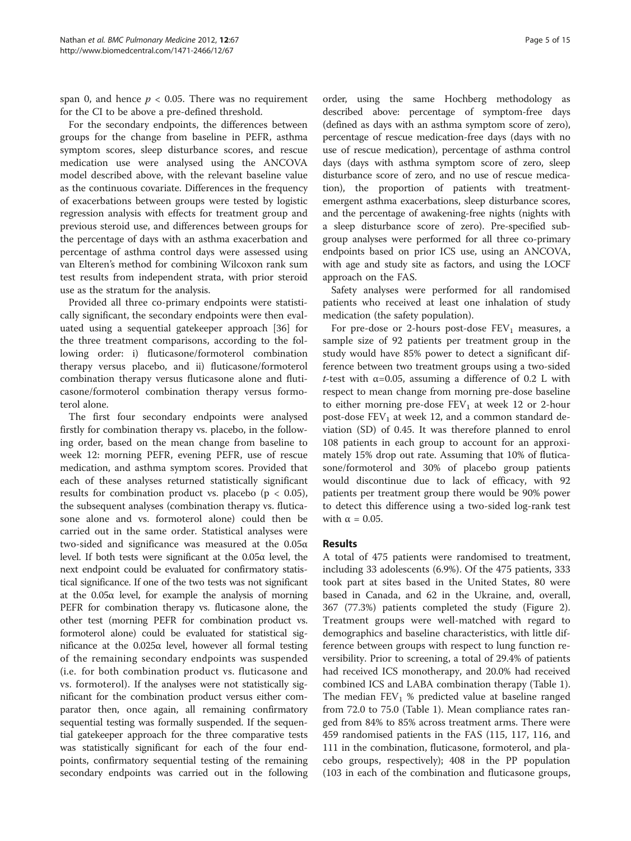span 0, and hence  $p < 0.05$ . There was no requirement for the CI to be above a pre-defined threshold.

For the secondary endpoints, the differences between groups for the change from baseline in PEFR, asthma symptom scores, sleep disturbance scores, and rescue medication use were analysed using the ANCOVA model described above, with the relevant baseline value as the continuous covariate. Differences in the frequency of exacerbations between groups were tested by logistic regression analysis with effects for treatment group and previous steroid use, and differences between groups for the percentage of days with an asthma exacerbation and percentage of asthma control days were assessed using van Elteren's method for combining Wilcoxon rank sum test results from independent strata, with prior steroid use as the stratum for the analysis.

Provided all three co-primary endpoints were statistically significant, the secondary endpoints were then evaluated using a sequential gatekeeper approach [[36\]](#page-14-0) for the three treatment comparisons, according to the following order: i) fluticasone/formoterol combination therapy versus placebo, and ii) fluticasone/formoterol combination therapy versus fluticasone alone and fluticasone/formoterol combination therapy versus formoterol alone.

The first four secondary endpoints were analysed firstly for combination therapy vs. placebo, in the following order, based on the mean change from baseline to week 12: morning PEFR, evening PEFR, use of rescue medication, and asthma symptom scores. Provided that each of these analyses returned statistically significant results for combination product vs. placebo ( $p < 0.05$ ), the subsequent analyses (combination therapy vs. fluticasone alone and vs. formoterol alone) could then be carried out in the same order. Statistical analyses were two-sided and significance was measured at the 0.05α level. If both tests were significant at the 0.05α level, the next endpoint could be evaluated for confirmatory statistical significance. If one of the two tests was not significant at the  $0.05α$  level, for example the analysis of morning PEFR for combination therapy vs. fluticasone alone, the other test (morning PEFR for combination product vs. formoterol alone) could be evaluated for statistical significance at the  $0.025α$  level, however all formal testing of the remaining secondary endpoints was suspended (i.e. for both combination product vs. fluticasone and vs. formoterol). If the analyses were not statistically significant for the combination product versus either comparator then, once again, all remaining confirmatory sequential testing was formally suspended. If the sequential gatekeeper approach for the three comparative tests was statistically significant for each of the four endpoints, confirmatory sequential testing of the remaining secondary endpoints was carried out in the following

order, using the same Hochberg methodology as described above: percentage of symptom-free days (defined as days with an asthma symptom score of zero), percentage of rescue medication-free days (days with no use of rescue medication), percentage of asthma control days (days with asthma symptom score of zero, sleep disturbance score of zero, and no use of rescue medication), the proportion of patients with treatmentemergent asthma exacerbations, sleep disturbance scores, and the percentage of awakening-free nights (nights with a sleep disturbance score of zero). Pre-specified subgroup analyses were performed for all three co-primary endpoints based on prior ICS use, using an ANCOVA, with age and study site as factors, and using the LOCF approach on the FAS.

Safety analyses were performed for all randomised patients who received at least one inhalation of study medication (the safety population).

For pre-dose or 2-hours post-dose  $FEV<sub>1</sub>$  measures, a sample size of 92 patients per treatment group in the study would have 85% power to detect a significant difference between two treatment groups using a two-sided t-test with  $\alpha$ =0.05, assuming a difference of 0.2 L with respect to mean change from morning pre-dose baseline to either morning pre-dose  $FEV<sub>1</sub>$  at week 12 or 2-hour post-dose  $FEV<sub>1</sub>$  at week 12, and a common standard deviation (SD) of 0.45. It was therefore planned to enrol 108 patients in each group to account for an approximately 15% drop out rate. Assuming that 10% of fluticasone/formoterol and 30% of placebo group patients would discontinue due to lack of efficacy, with 92 patients per treatment group there would be 90% power to detect this difference using a two-sided log-rank test with  $\alpha = 0.05$ .

# Results

A total of 475 patients were randomised to treatment, including 33 adolescents (6.9%). Of the 475 patients, 333 took part at sites based in the United States, 80 were based in Canada, and 62 in the Ukraine, and, overall, 367 (77.3%) patients completed the study (Figure [2](#page-5-0)). Treatment groups were well-matched with regard to demographics and baseline characteristics, with little difference between groups with respect to lung function reversibility. Prior to screening, a total of 29.4% of patients had received ICS monotherapy, and 20.0% had received combined ICS and LABA combination therapy (Table [1](#page-6-0)). The median  $FEV<sub>1</sub>$  % predicted value at baseline ranged from 72.0 to 75.0 (Table [1\)](#page-6-0). Mean compliance rates ranged from 84% to 85% across treatment arms. There were 459 randomised patients in the FAS (115, 117, 116, and 111 in the combination, fluticasone, formoterol, and placebo groups, respectively); 408 in the PP population (103 in each of the combination and fluticasone groups,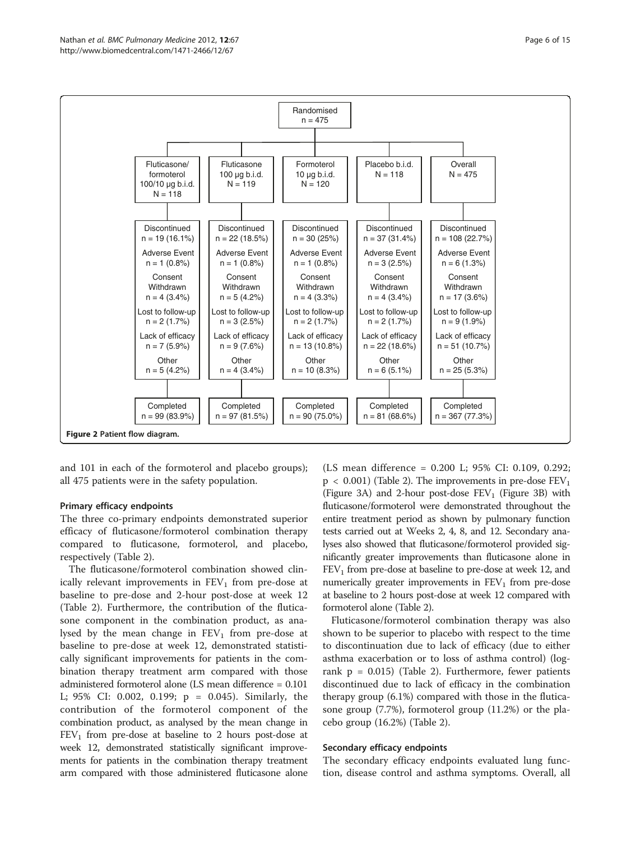<span id="page-5-0"></span>

and 101 in each of the formoterol and placebo groups); all 475 patients were in the safety population.

### Primary efficacy endpoints

The three co-primary endpoints demonstrated superior efficacy of fluticasone/formoterol combination therapy compared to fluticasone, formoterol, and placebo, respectively (Table [2](#page-7-0)).

The fluticasone/formoterol combination showed clinically relevant improvements in  $FEV<sub>1</sub>$  from pre-dose at baseline to pre-dose and 2-hour post-dose at week 12 (Table [2](#page-7-0)). Furthermore, the contribution of the fluticasone component in the combination product, as analysed by the mean change in  $FEV<sub>1</sub>$  from pre-dose at baseline to pre-dose at week 12, demonstrated statistically significant improvements for patients in the combination therapy treatment arm compared with those administered formoterol alone (LS mean difference = 0.101 L; 95% CI: 0.002, 0.199; p = 0.045). Similarly, the contribution of the formoterol component of the combination product, as analysed by the mean change in  $FEV<sub>1</sub>$  from pre-dose at baseline to 2 hours post-dose at week 12, demonstrated statistically significant improvements for patients in the combination therapy treatment arm compared with those administered fluticasone alone

(LS mean difference = 0.200 L; 95% CI: 0.109, 0.292;  $p < 0.001$ ) (Table [2\)](#page-7-0). The improvements in pre-dose  $FEV<sub>1</sub>$ (Figure [3A](#page-8-0)) and 2-hour post-dose  $FEV<sub>1</sub>$  (Figure [3B\)](#page-8-0) with fluticasone/formoterol were demonstrated throughout the entire treatment period as shown by pulmonary function tests carried out at Weeks 2, 4, 8, and 12. Secondary analyses also showed that fluticasone/formoterol provided significantly greater improvements than fluticasone alone in  $FEV<sub>1</sub>$  from pre-dose at baseline to pre-dose at week 12, and numerically greater improvements in  $FEV<sub>1</sub>$  from pre-dose at baseline to 2 hours post-dose at week 12 compared with formoterol alone (Table [2\)](#page-7-0).

Fluticasone/formoterol combination therapy was also shown to be superior to placebo with respect to the time to discontinuation due to lack of efficacy (due to either asthma exacerbation or to loss of asthma control) (logrank  $p = 0.015$ ) (Table [2](#page-7-0)). Furthermore, fewer patients discontinued due to lack of efficacy in the combination therapy group (6.1%) compared with those in the fluticasone group (7.7%), formoterol group (11.2%) or the placebo group (16.2%) (Table [2\)](#page-7-0).

#### Secondary efficacy endpoints

The secondary efficacy endpoints evaluated lung function, disease control and asthma symptoms. Overall, all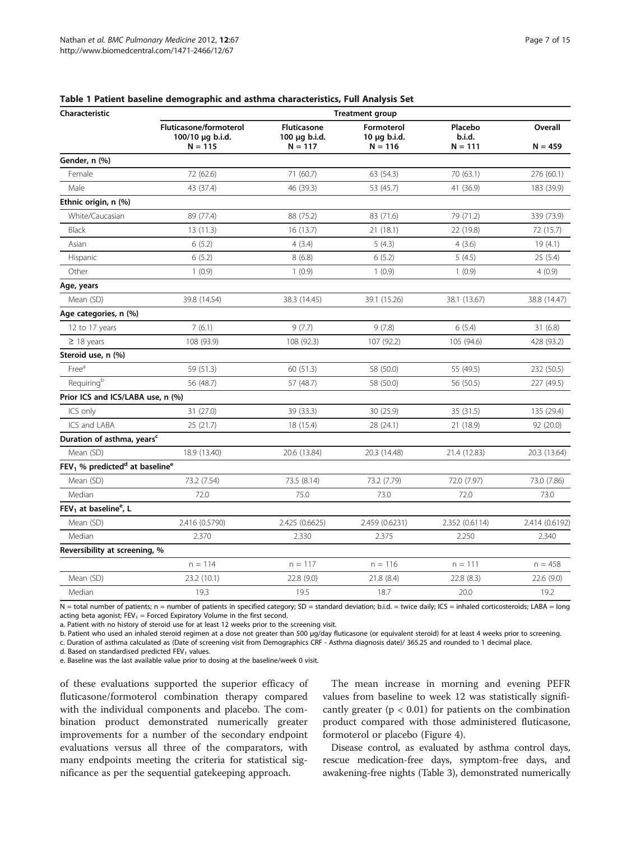| Characteristic                                           | <b>Treatment group</b>                                  |                                                       |                                              |                                |                      |  |
|----------------------------------------------------------|---------------------------------------------------------|-------------------------------------------------------|----------------------------------------------|--------------------------------|----------------------|--|
|                                                          | Fluticasone/formoterol<br>100/10 µg b.i.d.<br>$N = 115$ | <b>Fluticasone</b><br>$100 \mu q$ b.i.d.<br>$N = 117$ | Formoterol<br>$10 \mu q$ b.i.d.<br>$N = 116$ | Placebo<br>b.i.d.<br>$N = 111$ | Overall<br>$N = 459$ |  |
| Gender, n (%)                                            |                                                         |                                                       |                                              |                                |                      |  |
| Female                                                   | 72 (62.6)                                               | 71 (60.7)                                             | 63 (54.3)                                    | 70 (63.1)                      | 276 (60.1)           |  |
| Male                                                     | 43 (37.4)                                               | 46 (39.3)                                             | 53 (45.7)                                    | 41 (36.9)                      | 183 (39.9)           |  |
| Ethnic origin, n (%)                                     |                                                         |                                                       |                                              |                                |                      |  |
| White/Caucasian                                          | 89 (77.4)                                               | 88 (75.2)                                             | 83 (71.6)                                    | 79 (71.2)                      | 339 (73.9)           |  |
| Black                                                    | 13 (11.3)                                               | 16(13.7)                                              | 21 (18.1)                                    | 22 (19.8)                      | 72 (15.7)            |  |
| Asian                                                    | 6(5.2)                                                  | 4(3.4)                                                | 5(4.3)                                       | 4(3.6)                         | 19(4.1)              |  |
| Hispanic                                                 | 6(5.2)                                                  | 8(6.8)                                                | 6(5.2)                                       | 5(4.5)                         | 25 (5.4)             |  |
| Other                                                    | 1(0.9)                                                  | 1(0.9)                                                | 1(0.9)                                       | 1(0.9)                         | 4(0.9)               |  |
| Age, years                                               |                                                         |                                                       |                                              |                                |                      |  |
| Mean (SD)                                                | 39.8 (14.54)                                            | 38.3 (14.45)                                          | 39.1 (15.26)                                 | 38.1 (13.67)                   | 38.8 (14.47)         |  |
| Age categories, n (%)                                    |                                                         |                                                       |                                              |                                |                      |  |
| 12 to 17 years                                           | 7(6.1)                                                  | 9(7.7)                                                | 9(7.8)                                       | 6(5.4)                         | 31(6.8)              |  |
| $\geq$ 18 years                                          | 108 (93.9)                                              | 108 (92.3)                                            | 107 (92.2)                                   | 105 (94.6)                     | 428 (93.2)           |  |
| Steroid use, n (%)                                       |                                                         |                                                       |                                              |                                |                      |  |
| Free <sup>a</sup>                                        | 59 (51.3)                                               | 60 (51.3)                                             | 58 (50.0)                                    | 55 (49.5)                      | 232 (50.5)           |  |
| Requiringb                                               | 56 (48.7)                                               | 57 (48.7)                                             | 58 (50.0)                                    | 56 (50.5)                      | 227 (49.5)           |  |
| Prior ICS and ICS/LABA use, n (%)                        |                                                         |                                                       |                                              |                                |                      |  |
| ICS only                                                 | 31 (27.0)                                               | 39 (33.3)                                             | 30 (25.9)                                    | 35 (31.5)                      | 135 (29.4)           |  |
| ICS and LABA                                             | 25(21.7)                                                | 18 (15.4)                                             | 28 (24.1)                                    | 21 (18.9)                      | 92 (20.0)            |  |
| Duration of asthma, years <sup>c</sup>                   |                                                         |                                                       |                                              |                                |                      |  |
| Mean (SD)                                                | 18.9 (13.40)                                            | 20.6 (13.84)                                          | 20.3 (14.48)                                 | 21.4 (12.83)                   | 20.3 (13.64)         |  |
| $FEV1$ % predicted <sup>d</sup> at baseline <sup>e</sup> |                                                         |                                                       |                                              |                                |                      |  |
| Mean (SD)                                                | 73.2 (7.54)                                             | 73.5 (8.14)                                           | 73.2 (7.79)                                  | 72.0 (7.97)                    | 73.0 (7.86)          |  |
| Median                                                   | 72.0                                                    | 75.0                                                  | 73.0                                         | 72.0                           | 73.0                 |  |
| FEV <sub>1</sub> at baseline <sup>e</sup> , L            |                                                         |                                                       |                                              |                                |                      |  |
| Mean (SD)                                                | 2.416 (0.5790)                                          | 2.425 (0.6625)                                        | 2.459 (0.6231)                               | 2.352 (0.6114)                 | 2.414 (0.6192)       |  |
| Median                                                   | 2.370                                                   | 2.330                                                 | 2.375                                        | 2.250                          | 2.340                |  |
| Reversibility at screening, %                            |                                                         |                                                       |                                              |                                |                      |  |
|                                                          | $n = 114$                                               | $n = 117$                                             | $n = 116$                                    | $n = 111$                      | $n = 458$            |  |
| Mean (SD)                                                | 23.2 (10.1)                                             | 22.8 (9.0)                                            | 21.8(8.4)                                    | 22.8 (8.3)                     | 22.6(9.0)            |  |
| Median                                                   | 19.3                                                    | 19.5                                                  | 18.7                                         | 20.0                           | 19.2                 |  |

<span id="page-6-0"></span>Table 1 Patient baseline demographic and asthma characteristics, Full Analysis Set

N = total number of patients; n = number of patients in specified category; SD = standard deviation; b.i.d. = twice daily; ICS = inhaled corticosteroids; LABA = long acting beta agonist;  $FEV_1 = Forced Expiratory Volume in the first second.$ 

a. Patient with no history of steroid use for at least 12 weeks prior to the screening visit.

b. Patient who used an inhaled steroid regimen at a dose not greater than 500 µg/day fluticasone (or equivalent steroid) for at least 4 weeks prior to screening.

c. Duration of asthma calculated as (Date of screening visit from Demographics CRF - Asthma diagnosis date)/ 365.25 and rounded to 1 decimal place.

d. Based on standardised predicted  $FEV<sub>1</sub>$  values.

e. Baseline was the last available value prior to dosing at the baseline/week 0 visit.

of these evaluations supported the superior efficacy of fluticasone/formoterol combination therapy compared with the individual components and placebo. The combination product demonstrated numerically greater improvements for a number of the secondary endpoint evaluations versus all three of the comparators, with many endpoints meeting the criteria for statistical significance as per the sequential gatekeeping approach.

The mean increase in morning and evening PEFR values from baseline to week 12 was statistically significantly greater ( $p < 0.01$ ) for patients on the combination product compared with those administered fluticasone, formoterol or placebo (Figure [4](#page-9-0)).

Disease control, as evaluated by asthma control days, rescue medication-free days, symptom-free days, and awakening-free nights (Table [3\)](#page-10-0), demonstrated numerically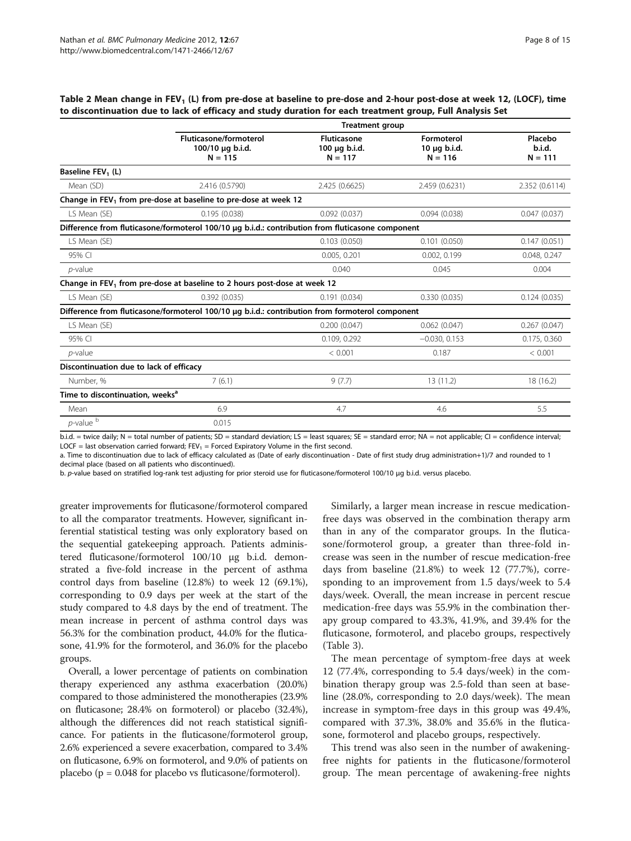<span id="page-7-0"></span>Table 2 Mean change in FEV<sub>1</sub> (L) from pre-dose at baseline to pre-dose and 2-hour post-dose at week 12, (LOCF), time to discontinuation due to lack of efficacy and study duration for each treatment group, Full Analysis Set

|                                             |                                                                                                  | <b>Treatment group</b>                    |                                              |                                |  |  |
|---------------------------------------------|--------------------------------------------------------------------------------------------------|-------------------------------------------|----------------------------------------------|--------------------------------|--|--|
|                                             | <b>Fluticasone/formoterol</b><br>100/10 µg b.i.d.<br>$N = 115$                                   | Fluticasone<br>100 µg b.i.d.<br>$N = 117$ | Formoterol<br>$10 \mu q$ b.i.d.<br>$N = 116$ | Placebo<br>b.i.d.<br>$N = 111$ |  |  |
| Baseline FEV <sub>1</sub> (L)               |                                                                                                  |                                           |                                              |                                |  |  |
| Mean (SD)                                   | 2.416 (0.5790)                                                                                   | 2.425 (0.6625)                            | 2.459 (0.6231)                               | 2.352 (0.6114)                 |  |  |
|                                             | Change in FEV <sub>1</sub> from pre-dose at baseline to pre-dose at week 12                      |                                           |                                              |                                |  |  |
| LS Mean (SE)                                | 0.195(0.038)                                                                                     | 0.092(0.037)                              | 0.094(0.038)                                 | 0.047(0.037)                   |  |  |
|                                             | Difference from fluticasone/formoterol 100/10 µg b.i.d.: contribution from fluticasone component |                                           |                                              |                                |  |  |
| LS Mean (SE)                                |                                                                                                  | 0.103(0.050)                              | 0.101(0.050)                                 | 0.147(0.051)                   |  |  |
| 95% CI                                      |                                                                                                  | 0.005, 0.201                              | 0.002, 0.199                                 | 0.048, 0.247                   |  |  |
| $p$ -value                                  |                                                                                                  | 0.040                                     | 0.045                                        | 0.004                          |  |  |
|                                             | Change in FEV <sub>1</sub> from pre-dose at baseline to 2 hours post-dose at week 12             |                                           |                                              |                                |  |  |
| LS Mean (SE)                                | 0.392(0.035)                                                                                     | 0.191(0.034)                              | 0.330(0.035)                                 | 0.124(0.035)                   |  |  |
|                                             | Difference from fluticasone/formoterol 100/10 µg b.i.d.: contribution from formoterol component  |                                           |                                              |                                |  |  |
| LS Mean (SE)                                |                                                                                                  | 0.200(0.047)                              | 0.062(0.047)                                 | 0.267(0.047)                   |  |  |
| 95% CI                                      |                                                                                                  | 0.109, 0.292                              | $-0.030, 0.153$                              | 0.175, 0.360                   |  |  |
| $p$ -value                                  |                                                                                                  | < 0.001                                   | 0.187                                        | < 0.001                        |  |  |
| Discontinuation due to lack of efficacy     |                                                                                                  |                                           |                                              |                                |  |  |
| Number, %                                   | 7(6.1)                                                                                           | 9(7.7)                                    | 13(11.2)                                     | 18 (16.2)                      |  |  |
| Time to discontinuation, weeks <sup>a</sup> |                                                                                                  |                                           |                                              |                                |  |  |
| Mean                                        | 6.9                                                                                              | 4.7                                       | 4.6                                          | 5.5                            |  |  |
| $p$ -value $\overline{p}$                   | 0.015                                                                                            |                                           |                                              |                                |  |  |
|                                             |                                                                                                  |                                           |                                              |                                |  |  |

b.i.d. = twice daily; N = total number of patients; SD = standard deviation; LS = least squares; SE = standard error; NA = not applicable; CI = confidence interval; LOCF = last observation carried forward;  $FEV_1$  = Forced Expiratory Volume in the first second.

a. Time to discontinuation due to lack of efficacy calculated as (Date of early discontinuation - Date of first study drug administration+1)/7 and rounded to 1 decimal place (based on all patients who discontinued).

b. p-value based on stratified log-rank test adjusting for prior steroid use for fluticasone/formoterol 100/10 μg b.i.d. versus placebo.

greater improvements for fluticasone/formoterol compared to all the comparator treatments. However, significant inferential statistical testing was only exploratory based on the sequential gatekeeping approach. Patients administered fluticasone/formoterol 100/10 μg b.i.d. demonstrated a five-fold increase in the percent of asthma control days from baseline (12.8%) to week 12 (69.1%), corresponding to 0.9 days per week at the start of the study compared to 4.8 days by the end of treatment. The mean increase in percent of asthma control days was 56.3% for the combination product, 44.0% for the fluticasone, 41.9% for the formoterol, and 36.0% for the placebo groups.

Overall, a lower percentage of patients on combination therapy experienced any asthma exacerbation (20.0%) compared to those administered the monotherapies (23.9% on fluticasone; 28.4% on formoterol) or placebo (32.4%), although the differences did not reach statistical significance. For patients in the fluticasone/formoterol group, 2.6% experienced a severe exacerbation, compared to 3.4% on fluticasone, 6.9% on formoterol, and 9.0% of patients on placebo ( $p = 0.048$  for placebo vs fluticasone/formoterol).

Similarly, a larger mean increase in rescue medicationfree days was observed in the combination therapy arm than in any of the comparator groups. In the fluticasone/formoterol group, a greater than three-fold increase was seen in the number of rescue medication-free days from baseline (21.8%) to week 12 (77.7%), corresponding to an improvement from 1.5 days/week to 5.4 days/week. Overall, the mean increase in percent rescue medication-free days was 55.9% in the combination therapy group compared to 43.3%, 41.9%, and 39.4% for the fluticasone, formoterol, and placebo groups, respectively (Table [3\)](#page-10-0).

The mean percentage of symptom-free days at week 12 (77.4%, corresponding to 5.4 days/week) in the combination therapy group was 2.5-fold than seen at baseline (28.0%, corresponding to 2.0 days/week). The mean increase in symptom-free days in this group was 49.4%, compared with 37.3%, 38.0% and 35.6% in the fluticasone, formoterol and placebo groups, respectively.

This trend was also seen in the number of awakeningfree nights for patients in the fluticasone/formoterol group. The mean percentage of awakening-free nights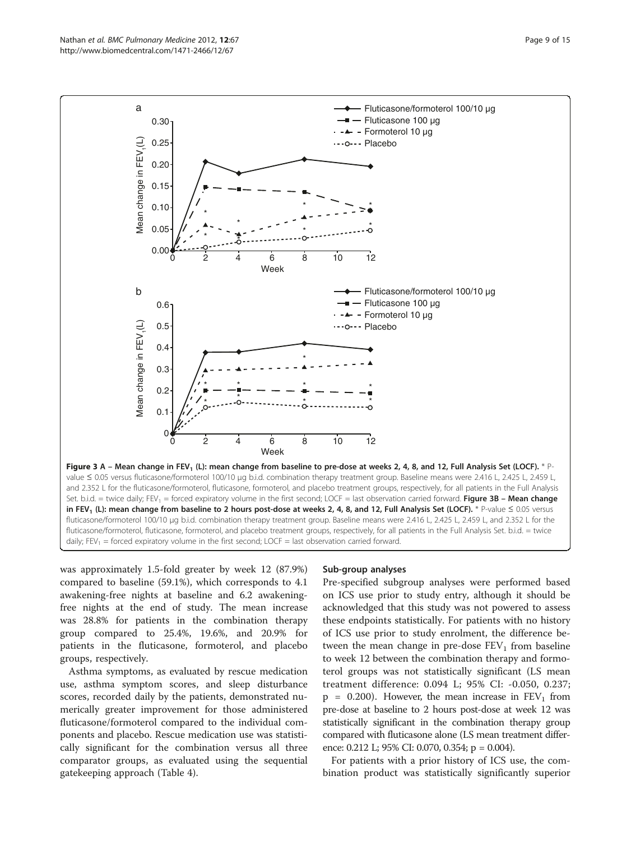<span id="page-8-0"></span>

was approximately 1.5-fold greater by week 12 (87.9%) compared to baseline (59.1%), which corresponds to 4.1 awakening-free nights at baseline and 6.2 awakeningfree nights at the end of study. The mean increase was 28.8% for patients in the combination therapy group compared to 25.4%, 19.6%, and 20.9% for patients in the fluticasone, formoterol, and placebo groups, respectively.

Asthma symptoms, as evaluated by rescue medication use, asthma symptom scores, and sleep disturbance scores, recorded daily by the patients, demonstrated numerically greater improvement for those administered fluticasone/formoterol compared to the individual components and placebo. Rescue medication use was statistically significant for the combination versus all three comparator groups, as evaluated using the sequential gatekeeping approach (Table [4\)](#page-11-0).

### Sub-group analyses

Pre-specified subgroup analyses were performed based on ICS use prior to study entry, although it should be acknowledged that this study was not powered to assess these endpoints statistically. For patients with no history of ICS use prior to study enrolment, the difference between the mean change in pre-dose  $FEV<sub>1</sub>$  from baseline to week 12 between the combination therapy and formoterol groups was not statistically significant (LS mean treatment difference: 0.094 L; 95% CI: -0.050, 0.237;  $p = 0.200$ . However, the mean increase in  $FEV<sub>1</sub>$  from pre-dose at baseline to 2 hours post-dose at week 12 was statistically significant in the combination therapy group compared with fluticasone alone (LS mean treatment difference: 0.212 L; 95% CI: 0.070, 0.354; p = 0.004).

For patients with a prior history of ICS use, the combination product was statistically significantly superior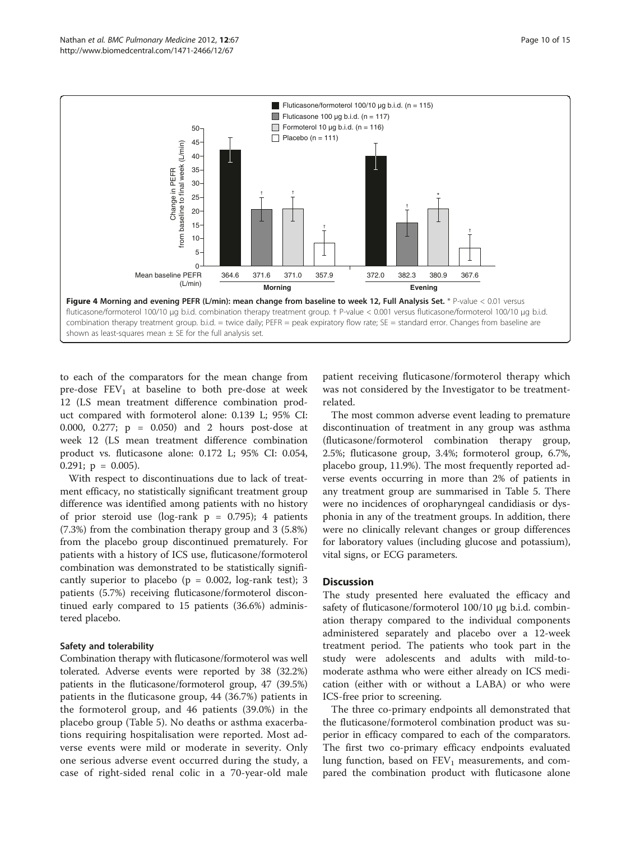<span id="page-9-0"></span>

to each of the comparators for the mean change from pre-dose  $FEV_1$  at baseline to both pre-dose at week 12 (LS mean treatment difference combination product compared with formoterol alone: 0.139 L; 95% CI: 0.000, 0.277; p = 0.050) and 2 hours post-dose at week 12 (LS mean treatment difference combination product vs. fluticasone alone: 0.172 L; 95% CI: 0.054, 0.291;  $p = 0.005$ ).

With respect to discontinuations due to lack of treatment efficacy, no statistically significant treatment group difference was identified among patients with no history of prior steroid use (log-rank  $p = 0.795$ ); 4 patients (7.3%) from the combination therapy group and 3 (5.8%) from the placebo group discontinued prematurely. For patients with a history of ICS use, fluticasone/formoterol combination was demonstrated to be statistically significantly superior to placebo ( $p = 0.002$ , log-rank test); 3 patients (5.7%) receiving fluticasone/formoterol discontinued early compared to 15 patients (36.6%) administered placebo.

### Safety and tolerability

Combination therapy with fluticasone/formoterol was well tolerated. Adverse events were reported by 38 (32.2%) patients in the fluticasone/formoterol group, 47 (39.5%) patients in the fluticasone group, 44 (36.7%) patients in the formoterol group, and 46 patients (39.0%) in the placebo group (Table [5](#page-12-0)). No deaths or asthma exacerbations requiring hospitalisation were reported. Most adverse events were mild or moderate in severity. Only one serious adverse event occurred during the study, a case of right-sided renal colic in a 70-year-old male

patient receiving fluticasone/formoterol therapy which was not considered by the Investigator to be treatmentrelated.

The most common adverse event leading to premature discontinuation of treatment in any group was asthma (fluticasone/formoterol combination therapy group, 2.5%; fluticasone group, 3.4%; formoterol group, 6.7%, placebo group, 11.9%). The most frequently reported adverse events occurring in more than 2% of patients in any treatment group are summarised in Table [5](#page-12-0). There were no incidences of oropharyngeal candidiasis or dysphonia in any of the treatment groups. In addition, there were no clinically relevant changes or group differences for laboratory values (including glucose and potassium), vital signs, or ECG parameters.

# **Discussion**

The study presented here evaluated the efficacy and safety of fluticasone/formoterol 100/10 μg b.i.d. combination therapy compared to the individual components administered separately and placebo over a 12-week treatment period. The patients who took part in the study were adolescents and adults with mild-tomoderate asthma who were either already on ICS medication (either with or without a LABA) or who were ICS-free prior to screening.

The three co-primary endpoints all demonstrated that the fluticasone/formoterol combination product was superior in efficacy compared to each of the comparators. The first two co-primary efficacy endpoints evaluated lung function, based on  $FEV_1$  measurements, and compared the combination product with fluticasone alone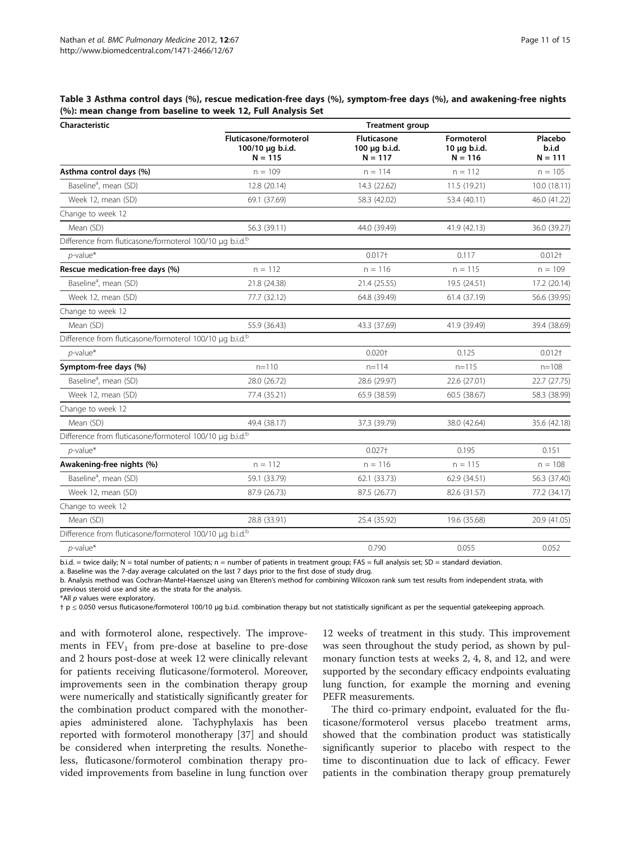<span id="page-10-0"></span>Table 3 Asthma control days (%), rescue medication-free days (%), symptom-free days (%), and awakening-free nights (%): mean change from baseline to week 12, Full Analysis Set

| Characteristic                                                       | <b>Treatment group</b>                                  |                                                  |                                         |                               |  |
|----------------------------------------------------------------------|---------------------------------------------------------|--------------------------------------------------|-----------------------------------------|-------------------------------|--|
|                                                                      | Fluticasone/formoterol<br>100/10 µg b.i.d.<br>$N = 115$ | <b>Fluticasone</b><br>100 µg b.i.d.<br>$N = 117$ | Formoterol<br>10 µg b.i.d.<br>$N = 116$ | Placebo<br>b.i.d<br>$N = 111$ |  |
| Asthma control days (%)                                              | $n = 109$                                               | $n = 114$                                        | $n = 112$                               | $n = 105$                     |  |
| Baseline <sup>a</sup> , mean (SD)                                    | 12.8 (20.14)                                            | 14.3 (22.62)                                     | 11.5 (19.21)                            | 10.0 (18.11)                  |  |
| Week 12, mean (SD)                                                   | 69.1 (37.69)                                            | 58.3 (42.02)                                     | 53.4 (40.11)                            | 46.0 (41.22)                  |  |
| Change to week 12                                                    |                                                         |                                                  |                                         |                               |  |
| Mean (SD)                                                            | 56.3 (39.11)                                            | 44.0 (39.49)                                     | 41.9 (42.13)                            | 36.0 (39.27)                  |  |
| Difference from fluticasone/formoterol 100/10 µg b.i.d. <sup>b</sup> |                                                         |                                                  |                                         |                               |  |
| $p$ -value*                                                          |                                                         | $0.017 +$                                        | 0.117                                   | $0.012+$                      |  |
| Rescue medication-free days (%)                                      | $n = 112$                                               | $n = 116$                                        | $n = 115$                               | $n = 109$                     |  |
| Baseline <sup>a</sup> , mean (SD)                                    | 21.8 (24.38)                                            | 21.4 (25.55)                                     | 19.5 (24.51)                            | 17.2 (20.14)                  |  |
| Week 12, mean (SD)                                                   | 77.7 (32.12)                                            | 64.8 (39.49)                                     | 61.4 (37.19)                            | 56.6 (39.95)                  |  |
| Change to week 12                                                    |                                                         |                                                  |                                         |                               |  |
| Mean (SD)                                                            | 55.9 (36.43)                                            | 43.3 (37.69)                                     | 41.9 (39.49)                            | 39.4 (38.69)                  |  |
| Difference from fluticasone/formoterol 100/10 µg b.i.d. <sup>b</sup> |                                                         |                                                  |                                         |                               |  |
| $p$ -value*                                                          |                                                         | $0.020+$                                         | 0.125                                   | $0.012+$                      |  |
| Symptom-free days (%)                                                | $n=110$                                                 | $n = 114$                                        | $n = 115$                               | $n = 108$                     |  |
| Baseline <sup>a</sup> , mean (SD)                                    | 28.0 (26.72)                                            | 28.6 (29.97)                                     | 22.6 (27.01)                            | 22.7 (27.75)                  |  |
| Week 12, mean (SD)                                                   | 77.4 (35.21)                                            | 65.9 (38.59)                                     | 60.5 (38.67)                            | 58.3 (38.99)                  |  |
| Change to week 12                                                    |                                                         |                                                  |                                         |                               |  |
| Mean (SD)                                                            | 49.4 (38.17)                                            | 37.3 (39.79)                                     | 38.0 (42.64)                            | 35.6 (42.18)                  |  |
| Difference from fluticasone/formoterol 100/10 µg b.i.d. <sup>b</sup> |                                                         |                                                  |                                         |                               |  |
| $p$ -value*                                                          |                                                         | $0.027+$                                         | 0.195                                   | 0.151                         |  |
| Awakening-free nights (%)                                            | $n = 112$                                               | $n = 116$                                        | $n = 115$                               | $n = 108$                     |  |
| Baseline <sup>a</sup> , mean (SD)                                    | 59.1 (33.79)                                            | 62.1 (33.73)                                     | 62.9 (34.51)                            | 56.3 (37.40)                  |  |
| Week 12, mean (SD)                                                   | 87.9 (26.73)                                            | 87.5 (26.77)                                     | 82.6 (31.57)                            | 77.2 (34.17)                  |  |
| Change to week 12                                                    |                                                         |                                                  |                                         |                               |  |
| Mean (SD)                                                            | 28.8 (33.91)                                            | 25.4 (35.92)                                     | 19.6 (35.68)                            | 20.9 (41.05)                  |  |
| Difference from fluticasone/formoterol 100/10 µg b.i.d. <sup>b</sup> |                                                         |                                                  |                                         |                               |  |
| $p$ -value*                                                          |                                                         | 0.790                                            | 0.055                                   | 0.052                         |  |

a. Baseline was the 7-day average calculated on the last 7 days prior to the first dose of study drug.

b. Analysis method was Cochran-Mantel-Haenszel using van Elteren's method for combining Wilcoxon rank sum test results from independent strata, with previous steroid use and site as the strata for the analysis.

\*All p values were exploratory.

† p ≤ 0.050 versus fluticasone/formoterol 100/10 μg b.i.d. combination therapy but not statistically significant as per the sequential gatekeeping approach.

and with formoterol alone, respectively. The improvements in  $FEV_1$  from pre-dose at baseline to pre-dose and 2 hours post-dose at week 12 were clinically relevant for patients receiving fluticasone/formoterol. Moreover, improvements seen in the combination therapy group were numerically and statistically significantly greater for the combination product compared with the monotherapies administered alone. Tachyphylaxis has been reported with formoterol monotherapy [\[37\]](#page-14-0) and should be considered when interpreting the results. Nonetheless, fluticasone/formoterol combination therapy provided improvements from baseline in lung function over

12 weeks of treatment in this study. This improvement was seen throughout the study period, as shown by pulmonary function tests at weeks 2, 4, 8, and 12, and were supported by the secondary efficacy endpoints evaluating lung function, for example the morning and evening PEFR measurements.

The third co-primary endpoint, evaluated for the fluticasone/formoterol versus placebo treatment arms, showed that the combination product was statistically significantly superior to placebo with respect to the time to discontinuation due to lack of efficacy. Fewer patients in the combination therapy group prematurely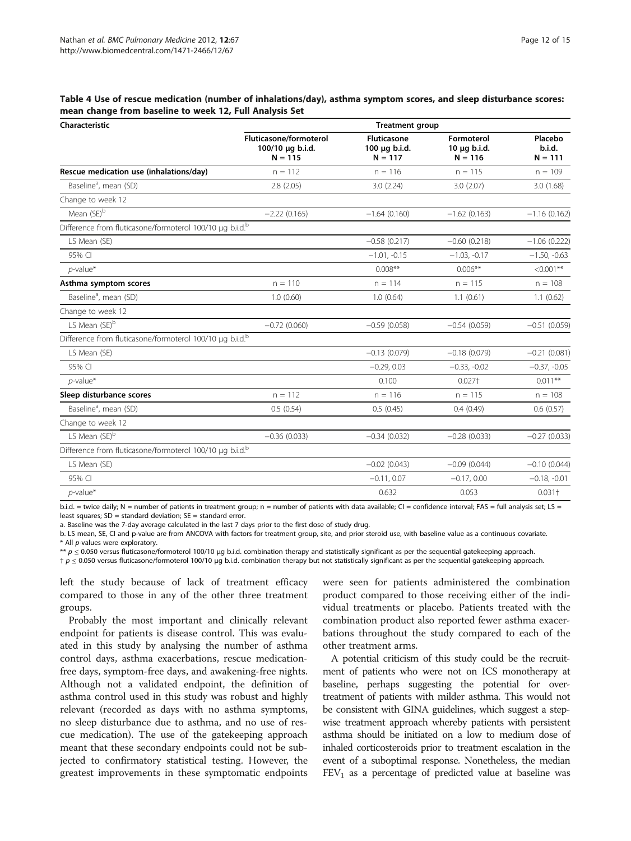<span id="page-11-0"></span>Table 4 Use of rescue medication (number of inhalations/day), asthma symptom scores, and sleep disturbance scores: mean change from baseline to week 12, Full Analysis Set

| Characteristic                                                       | <b>Treatment group</b>                                         |                                                  |                                              |                                |  |
|----------------------------------------------------------------------|----------------------------------------------------------------|--------------------------------------------------|----------------------------------------------|--------------------------------|--|
|                                                                      | <b>Fluticasone/formoterol</b><br>100/10 µg b.i.d.<br>$N = 115$ | <b>Fluticasone</b><br>100 µg b.i.d.<br>$N = 117$ | Formoterol<br>$10 \mu q$ b.i.d.<br>$N = 116$ | Placebo<br>b.i.d.<br>$N = 111$ |  |
| Rescue medication use (inhalations/day)                              | $n = 112$                                                      | $n = 116$                                        | $n = 115$                                    | $n = 109$                      |  |
| Baseline <sup>a</sup> , mean (SD)                                    | 2.8(2.05)                                                      | 3.0(2.24)                                        | 3.0(2.07)                                    | 3.0(1.68)                      |  |
| Change to week 12                                                    |                                                                |                                                  |                                              |                                |  |
| Mean (SE) <sup>b</sup>                                               | $-2.22(0.165)$                                                 | $-1.64(0.160)$                                   | $-1.62(0.163)$                               | $-1.16(0.162)$                 |  |
| Difference from fluticasone/formoterol 100/10 µg b.i.d.b             |                                                                |                                                  |                                              |                                |  |
| LS Mean (SE)                                                         |                                                                | $-0.58(0.217)$                                   | $-0.60(0.218)$                               | $-1.06(0.222)$                 |  |
| 95% CI                                                               |                                                                | $-1.01, -0.15$                                   | $-1.03, -0.17$                               | $-1.50, -0.63$                 |  |
| $p$ -value*                                                          |                                                                | $0.008***$                                       | $0.006**$                                    | $< 0.001$ **                   |  |
| Asthma symptom scores                                                | $n = 110$                                                      | $n = 114$                                        | $n = 115$                                    | $n = 108$                      |  |
| Baseline <sup>a</sup> , mean (SD)                                    | 1.0(0.60)                                                      | 1.0(0.64)                                        | 1.1(0.61)                                    | 1.1(0.62)                      |  |
| Change to week 12                                                    |                                                                |                                                  |                                              |                                |  |
| LS Mean (SE) <sup>b</sup>                                            | $-0.72(0.060)$                                                 | $-0.59(0.058)$                                   | $-0.54(0.059)$                               | $-0.51(0.059)$                 |  |
| Difference from fluticasone/formoterol 100/10 µg b.i.d. <sup>b</sup> |                                                                |                                                  |                                              |                                |  |
| LS Mean (SE)                                                         |                                                                | $-0.13(0.079)$                                   | $-0.18(0.079)$                               | $-0.21(0.081)$                 |  |
| 95% CI                                                               |                                                                | $-0.29, 0.03$                                    | $-0.33, -0.02$                               | $-0.37, -0.05$                 |  |
| $p$ -value*                                                          |                                                                | 0.100                                            | $0.027+$                                     | $0.011***$                     |  |
| Sleep disturbance scores                                             | $n = 112$                                                      | $n = 116$                                        | $n = 115$                                    | $n = 108$                      |  |
| Baseline <sup>a</sup> , mean (SD)                                    | 0.5(0.54)                                                      | 0.5(0.45)                                        | 0.4(0.49)                                    | 0.6(0.57)                      |  |
| Change to week 12                                                    |                                                                |                                                  |                                              |                                |  |
| LS Mean (SE) <sup>b</sup>                                            | $-0.36(0.033)$                                                 | $-0.34(0.032)$                                   | $-0.28(0.033)$                               | $-0.27(0.033)$                 |  |
| Difference from fluticasone/formoterol 100/10 µg b.i.d. <sup>b</sup> |                                                                |                                                  |                                              |                                |  |
| LS Mean (SE)                                                         |                                                                | $-0.02(0.043)$                                   | $-0.09(0.044)$                               | $-0.10(0.044)$                 |  |
| 95% CI                                                               |                                                                | $-0.11, 0.07$                                    | $-0.17, 0.00$                                | $-0.18, -0.01$                 |  |
| $p$ -value*                                                          |                                                                | 0.632                                            | 0.053                                        | $0.031 +$                      |  |
|                                                                      |                                                                |                                                  |                                              |                                |  |

b.i.d. = twice daily; N = number of patients in treatment group; n = number of patients with data available; CI = confidence interval; FAS = full analysis set; LS = least squares;  $SD =$  standard deviation;  $SE =$  standard error.

a. Baseline was the 7-day average calculated in the last 7 days prior to the first dose of study drug.

b. LS mean, SE, CI and p-value are from ANCOVA with factors for treatment group, site, and prior steroid use, with baseline value as a continuous covariate.

\* All p-values were exploratory.

 $* p$  ≤ 0.050 versus fluticasone/formoterol 100/10 µg b.i.d. combination therapy and statistically significant as per the sequential gatekeeping approach.

 $\mathsf{p} \leq 0.050$  versus fluticasone/formoterol 100/10 µg b.i.d. combination therapy but not statistically significant as per the sequential gatekeeping approach.

left the study because of lack of treatment efficacy compared to those in any of the other three treatment groups.

Probably the most important and clinically relevant endpoint for patients is disease control. This was evaluated in this study by analysing the number of asthma control days, asthma exacerbations, rescue medicationfree days, symptom-free days, and awakening-free nights. Although not a validated endpoint, the definition of asthma control used in this study was robust and highly relevant (recorded as days with no asthma symptoms, no sleep disturbance due to asthma, and no use of rescue medication). The use of the gatekeeping approach meant that these secondary endpoints could not be subjected to confirmatory statistical testing. However, the greatest improvements in these symptomatic endpoints were seen for patients administered the combination product compared to those receiving either of the individual treatments or placebo. Patients treated with the combination product also reported fewer asthma exacerbations throughout the study compared to each of the other treatment arms.

A potential criticism of this study could be the recruitment of patients who were not on ICS monotherapy at baseline, perhaps suggesting the potential for overtreatment of patients with milder asthma. This would not be consistent with GINA guidelines, which suggest a stepwise treatment approach whereby patients with persistent asthma should be initiated on a low to medium dose of inhaled corticosteroids prior to treatment escalation in the event of a suboptimal response. Nonetheless, the median  $FEV<sub>1</sub>$  as a percentage of predicted value at baseline was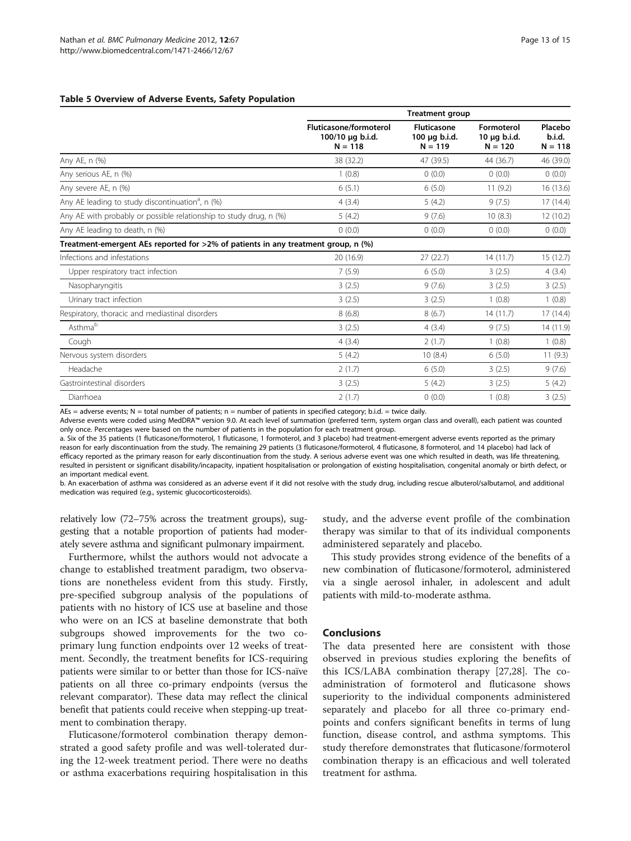#### <span id="page-12-0"></span>Table 5 Overview of Adverse Events, Safety Population

|                                                                                   | <b>Treatment group</b>                                         |                                                  |                                         |                                |  |
|-----------------------------------------------------------------------------------|----------------------------------------------------------------|--------------------------------------------------|-----------------------------------------|--------------------------------|--|
|                                                                                   | <b>Fluticasone/formoterol</b><br>100/10 µg b.i.d.<br>$N = 118$ | <b>Fluticasone</b><br>100 µg b.i.d.<br>$N = 119$ | Formoterol<br>10 µg b.i.d.<br>$N = 120$ | Placebo<br>b.i.d.<br>$N = 118$ |  |
| Any AE, n (%)                                                                     | 38 (32.2)                                                      | 47 (39.5)                                        | 44 (36.7)                               | 46 (39.0)                      |  |
| Any serious AE, n (%)                                                             | 1(0.8)                                                         | 0(0.0)                                           | 0(0.0)                                  | 0(0.0)                         |  |
| Any severe AE, n (%)                                                              | 6(5.1)                                                         | 6(5.0)                                           | 11(9.2)                                 | 16 (13.6)                      |  |
| Any AE leading to study discontinuation <sup>a</sup> , n (%)                      | 4(3.4)                                                         | 5(4.2)                                           | 9(7.5)                                  | 17(14.4)                       |  |
| Any AE with probably or possible relationship to study drug, n (%)                | 5(4.2)                                                         | 9(7.6)                                           | 10(8.3)                                 | 12 (10.2)                      |  |
| Any AE leading to death, n (%)                                                    | 0(0.0)                                                         | 0(0.0)                                           | 0(0.0)                                  | (0.0)                          |  |
| Treatment-emergent AEs reported for >2% of patients in any treatment group, n (%) |                                                                |                                                  |                                         |                                |  |
| Infections and infestations                                                       | 20 (16.9)                                                      | 27(22.7)                                         | 14(11.7)                                | 15(12.7)                       |  |
| Upper respiratory tract infection                                                 | 7(5.9)                                                         | 6(5.0)                                           | 3(2.5)                                  | 4(3.4)                         |  |
| Nasopharyngitis                                                                   | 3(2.5)                                                         | 9(7.6)                                           | 3(2.5)                                  | 3(2.5)                         |  |
| Urinary tract infection                                                           | 3(2.5)                                                         | 3(2.5)                                           | 1(0.8)                                  | 1(0.8)                         |  |
| Respiratory, thoracic and mediastinal disorders                                   | 8(6.8)                                                         | 8(6.7)                                           | 14(11.7)                                | 17(14.4)                       |  |
| Asthmab                                                                           | 3(2.5)                                                         | 4(3.4)                                           | 9(7.5)                                  | 14 (11.9)                      |  |
| Cough                                                                             | 4(3.4)                                                         | 2(1.7)                                           | 1(0.8)                                  | 1(0.8)                         |  |
| Nervous system disorders                                                          | 5(4.2)                                                         | 10(8.4)                                          | 6(5.0)                                  | 11(9.3)                        |  |
| Headache                                                                          | 2(1.7)                                                         | 6(5.0)                                           | 3(2.5)                                  | 9(7.6)                         |  |
| Gastrointestinal disorders                                                        | 3(2.5)                                                         | 5(4.2)                                           | 3(2.5)                                  | 5(4.2)                         |  |
| Diarrhoea                                                                         | 2(1.7)                                                         | 0(0.0)                                           | 1(0.8)                                  | 3(2.5)                         |  |

AEs = adverse events; N = total number of patients; n = number of patients in specified category; b.i.d. = twice daily.

Adverse events were coded using MedDRA™ version 9.0. At each level of summation (preferred term, system organ class and overall), each patient was counted only once. Percentages were based on the number of patients in the population for each treatment group.

a. Six of the 35 patients (1 fluticasone/formoterol, 1 fluticasone, 1 formoterol, and 3 placebo) had treatment-emergent adverse events reported as the primary reason for early discontinuation from the study. The remaining 29 patients (3 fluticasone/formoterol, 4 fluticasone, 8 formoterol, and 14 placebo) had lack of efficacy reported as the primary reason for early discontinuation from the study. A serious adverse event was one which resulted in death, was life threatening, resulted in persistent or significant disability/incapacity, inpatient hospitalisation or prolongation of existing hospitalisation, congenital anomaly or birth defect, or an important medical event.

b. An exacerbation of asthma was considered as an adverse event if it did not resolve with the study drug, including rescue albuterol/salbutamol, and additional medication was required (e.g., systemic glucocorticosteroids).

relatively low (72–75% across the treatment groups), suggesting that a notable proportion of patients had moderately severe asthma and significant pulmonary impairment.

Furthermore, whilst the authors would not advocate a change to established treatment paradigm, two observations are nonetheless evident from this study. Firstly, pre-specified subgroup analysis of the populations of patients with no history of ICS use at baseline and those who were on an ICS at baseline demonstrate that both subgroups showed improvements for the two coprimary lung function endpoints over 12 weeks of treatment. Secondly, the treatment benefits for ICS-requiring patients were similar to or better than those for ICS-naïve patients on all three co-primary endpoints (versus the relevant comparator). These data may reflect the clinical benefit that patients could receive when stepping-up treatment to combination therapy.

Fluticasone/formoterol combination therapy demonstrated a good safety profile and was well-tolerated during the 12-week treatment period. There were no deaths or asthma exacerbations requiring hospitalisation in this

study, and the adverse event profile of the combination therapy was similar to that of its individual components administered separately and placebo.

This study provides strong evidence of the benefits of a new combination of fluticasone/formoterol, administered via a single aerosol inhaler, in adolescent and adult patients with mild-to-moderate asthma.

# Conclusions

The data presented here are consistent with those observed in previous studies exploring the benefits of this ICS/LABA combination therapy [\[27,28\]](#page-13-0). The coadministration of formoterol and fluticasone shows superiority to the individual components administered separately and placebo for all three co-primary endpoints and confers significant benefits in terms of lung function, disease control, and asthma symptoms. This study therefore demonstrates that fluticasone/formoterol combination therapy is an efficacious and well tolerated treatment for asthma.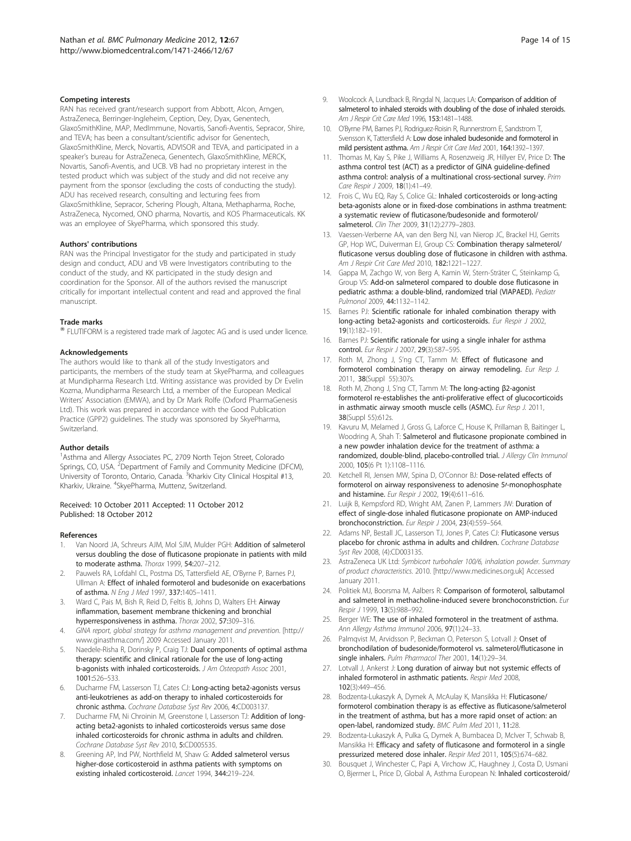#### <span id="page-13-0"></span>Competing interests

RAN has received grant/research support from Abbott, Alcon, Amgen, AstraZeneca, Berringer-Ingleheim, Ception, Dey, Dyax, Genentech, GlaxoSmithKline, MAP, MedImmune, Novartis, Sanofi-Aventis, Sepracor, Shire, and TEVA; has been a consultant/scientific advisor for Genentech, GlaxoSmithKline, Merck, Novartis, ADVISOR and TEVA, and participated in a speaker's bureau for AstraZeneca, Genentech, GlaxoSmithKline, MERCK, Novartis, Sanofi-Aventis, and UCB. VB had no proprietary interest in the tested product which was subject of the study and did not receive any payment from the sponsor (excluding the costs of conducting the study). ADU has received research, consulting and lecturing fees from GlaxoSmithkline, Sepracor, Schering Plough, Altana, Methapharma, Roche, AstraZeneca, Nycomed, ONO pharma, Novartis, and KOS Pharmaceuticals. KK was an employee of SkyePharma, which sponsored this study.

#### Authors' contributions

RAN was the Principal Investigator for the study and participated in study design and conduct, ADU and VB were Investigators contributing to the conduct of the study, and KK participated in the study design and coordination for the Sponsor. All of the authors revised the manuscript critically for important intellectual content and read and approved the final manuscript.

#### Trade marks

<sup>®</sup> FLUTIFORM is a registered trade mark of Jagotec AG and is used under licence.

#### Acknowledgements

The authors would like to thank all of the study Investigators and participants, the members of the study team at SkyePharma, and colleagues at Mundipharma Research Ltd. Writing assistance was provided by Dr Evelin Kozma, Mundipharma Research Ltd, a member of the European Medical Writers' Association (EMWA), and by Dr Mark Rolfe (Oxford PharmaGenesis Ltd). This work was prepared in accordance with the Good Publication Practice (GPP2) guidelines. The study was sponsored by SkyePharma, Switzerland.

#### Author details

<sup>1</sup> Asthma and Allergy Associates PC, 2709 North Tejon Street, Colorado Springs, CO, USA. <sup>2</sup>Department of Family and Community Medicine (DFCM), University of Toronto, Ontario, Canada. <sup>3</sup>Kharkiv City Clinical Hospital #13, Kharkiv, Ukraine. <sup>4</sup>SkyePharma, Muttenz, Switzerland.

#### Received: 10 October 2011 Accepted: 11 October 2012 Published: 18 October 2012

#### References

- 1. Van Noord JA, Schreurs AJM, Mol SJM, Mulder PGH: Addition of salmeterol versus doubling the dose of fluticasone propionate in patients with mild to moderate asthma. Thorax 1999, 54:207–212.
- 2. Pauwels RA, Lofdahl CL, Postma DS, Tattersfield AE, O'Byrne P, Barnes PJ, Ullman A: Effect of inhaled formoterol and budesonide on exacerbations of asthma. N Eng J Med 1997, 337:1405–1411.
- 3. Ward C, Pais M, Bish R, Reid D, Feltis B, Johns D, Walters EH: Airway inflammation, basement membrane thickening and bronchial hyperresponsiveness in asthma. Thorax 2002, 57:309–316.
- 4. GINA report, global strategy for asthma management and prevention. [[http://](http://www.ginasthma.com/) [www.ginasthma.com/](http://www.ginasthma.com/)] 2009 Accessed January 2011.
- Naedele-Risha R, Dorinsky P, Craig TJ: Dual components of optimal asthma therapy: scientific and clinical rationale for the use of long-acting b-agonists with inhaled corticosteroids. J Am Osteopath Assoc 2001, 1001:526–533.
- 6. Ducharme FM, Lasserson TJ, Cates CJ: Long-acting beta2-agonists versus anti-leukotrienes as add-on therapy to inhaled corticosteroids for chronic asthma. Cochrane Database Syst Rev 2006, 4:CD003137.
- Ducharme FM, Ni Chroinin M, Greenstone I, Lasserson TJ: Addition of longacting beta2-agonists to inhaled corticosteroids versus same dose inhaled corticosteroids for chronic asthma in adults and children. Cochrane Database Syst Rev 2010, 5:CD005535.
- Greening AP, Ind PW, Northfield M, Shaw G: Added salmeterol versus higher-dose corticosteroid in asthma patients with symptoms on existing inhaled corticosteroid. Lancet 1994, 344:219–224.
- Woolcock A, Lundback B, Ringdal N, Jacques LA: Comparison of addition of salmeterol to inhaled steroids with doubling of the dose of inhaled steroids. Am J Respir Crit Care Med 1996, 153:1481–1488.
- 10. O'Byrne PM, Barnes PJ, Rodriguez-Roisin R, Runnerstrom E, Sandstrom T, Svensson K, Tattersfield A: Low dose inhaled budesonide and formoterol in mild persistent asthma. Am J Respir Crit Care Med 2001, 164:1392–1397.
- 11. Thomas M, Kay S, Pike J, Williams A, Rosenzweig JR, Hillyer EV, Price D: The asthma control test (ACT) as a predictor of GINA guideline-defined asthma control: analysis of a multinational cross-sectional survey. Prim Care Respir J 2009, 18(1):41–49.
- 12. Frois C, Wu EQ, Ray S, Colice GL: Inhaled corticosteroids or long-acting beta-agonists alone or in fixed-dose combinations in asthma treatment: a systematic review of fluticasone/budesonide and formoterol/ salmeterol. Clin Ther 2009, 31(12):2779–2803.
- 13. Vaessen-Verberne AA, van den Berg NJ, van Nierop JC, Brackel HJ, Gerrits GP, Hop WC, Duiverman EJ, Group CS: Combination therapy salmeterol/ fluticasone versus doubling dose of fluticasone in children with asthma. Am J Respir Crit Care Med 2010, 182:1221–1227.
- 14. Gappa M, Zachgo W, von Berg A, Kamin W, Stern-Sträter C, Steinkamp G, Group VS: Add-on salmeterol compared to double dose fluticasone in pediatric asthma: a double-blind, randomized trial (VIAPAED). Pediatr Pulmonol 2009, 44:1132–1142.
- 15. Barnes PJ: Scientific rationale for inhaled combination therapy with long-acting beta2-agonists and corticosteroids. Eur Respir J 2002, 19(1):182–191.
- 16. Barnes PJ: Scientific rationale for using a single inhaler for asthma control. Eur Respir J 2007, 29(3):587–595.
- 17. Roth M, Zhong J, S'ng CT, Tamm M: Effect of fluticasone and formoterol combination therapy on airway remodeling. Eur Resp J. 2011, 38(Suppl 55):307s.
- 18. Roth M, Zhong J, S'ng CT, Tamm M: The long-acting β2-agonist formoterol re-establishes the anti-proliferative effect of glucocorticoids in asthmatic airway smooth muscle cells (ASMC). Eur Resp J. 2011, 38(Suppl 55):612s.
- 19. Kavuru M, Melamed J, Gross G, Laforce C, House K, Prillaman B, Baitinger L, Woodring A, Shah T: Salmeterol and fluticasone propionate combined in a new powder inhalation device for the treatment of asthma: a randomized, double-blind, placebo-controlled trial. J Allergy Clin Immunol 2000, 105(6 Pt 1):1108–1116.
- 20. Ketchell RI, Jensen MW, Spina D, O'Connor BJ: Dose-related effects of formoterol on airway responsiveness to adenosine 5/-monophosphate and histamine. Eur Respir J 2002, 19(4):611-616.
- 21. Luijk B, Kempsford RD, Wright AM, Zanen P, Lammers JW: Duration of effect of single-dose inhaled fluticasone propionate on AMP-induced bronchoconstriction. Eur Respir J 2004, 23(4):559–564.
- 22. Adams NP, Bestall JC, Lasserson TJ, Jones P, Cates CJ: Fluticasone versus placebo for chronic asthma in adults and children. Cochrane Database Syst Rev 2008, (4):CD003135.
- 23. AstraZeneca UK Ltd: Symbicort turbohaler 100/6, inhalation powder. Summary of product characteristics. 2010. [<http://www.medicines.org.uk>] Accessed January 2011.
- 24. Politiek MJ, Boorsma M, Aalbers R: Comparison of formoterol, salbutamol and salmeterol in methacholine-induced severe bronchoconstriction. Eur Respir J 1999, 13(5):988–992.
- 25. Berger WE: The use of inhaled formoterol in the treatment of asthma. Ann Allergy Asthma Immunol 2006, 97(1):24–33.
- 26. Palmqvist M, Arvidsson P, Beckman O, Peterson S, Lotvall J: Onset of bronchodilation of budesonide/formoterol vs. salmeterol/fluticasone in single inhalers. Pulm Pharmacol Ther 2001, 14(1):29-34.
- 27. Lotvall J, Ankerst J: Long duration of airway but not systemic effects of inhaled formoterol in asthmatic patients. Respir Med 2008, 102(3):449–456.
- 28. Bodzenta-Lukaszyk A, Dymek A, McAulay K, Mansikka H: Fluticasone/ formoterol combination therapy is as effective as fluticasone/salmeterol in the treatment of asthma, but has a more rapid onset of action: an open-label, randomized study. BMC Pulm Med 2011, 11:28.
- 29. Bodzenta-Lukaszyk A, Pulka G, Dymek A, Bumbacea D, McIver T, Schwab B, Mansikka H: Efficacy and safety of fluticasone and formoterol in a single pressurized metered dose inhaler. Respir Med 2011, 105(5):674–682.
- 30. Bousquet J, Winchester C, Papi A, Virchow JC, Haughney J, Costa D, Usmani O, Bjermer L, Price D, Global A, Asthma European N: Inhaled corticosteroid/